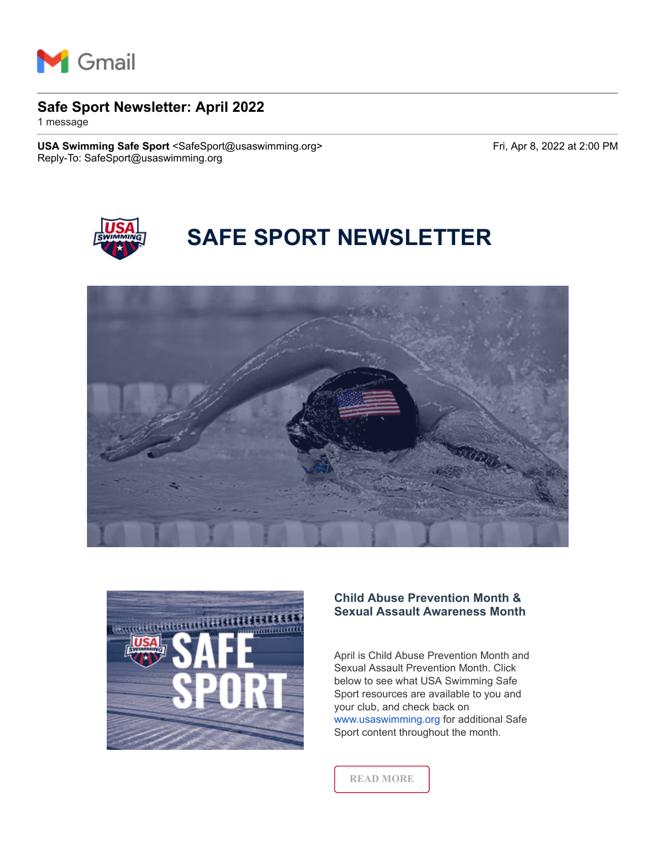

# **Safe Sport Newsletter: April 2022**

1 message

USA Swimming Safe Sport <SafeSport@usaswimming.org> Fri, Apr 8, 2022 at 2:00 PM Reply-To: SafeSport@usaswimming.org



# **SAFE SPORT NEWSLETTER**





# **Child Abuse Prevention Month & Sexual Assault Awareness Month**

April is Child Abuse Prevention Month and Sexual Assault Prevention Month. Click below to see what USA Swimming Safe Sport resources are available to you and your club, and check back on [www.usaswimming.org](http://pages.usaswimming.org/MjM2LUtDWi00OTUAAAGDqU5xEY7jnzK42DCoOOnKR0mWxged4_FjfLE9JsjqT-zAjEtNdUc6mP5u1vLfotFZIoNDlE8=) for additional Safe Sport content throughout the month.

**[READ MORE](http://pages.usaswimming.org/MjM2LUtDWi00OTUAAAGDqU5xEmAymtO-F2-M9D91xVkFnp3Wfuawp9qb50I7n64Jp_okfno1mwA7LbquXZqniJn6sko=)**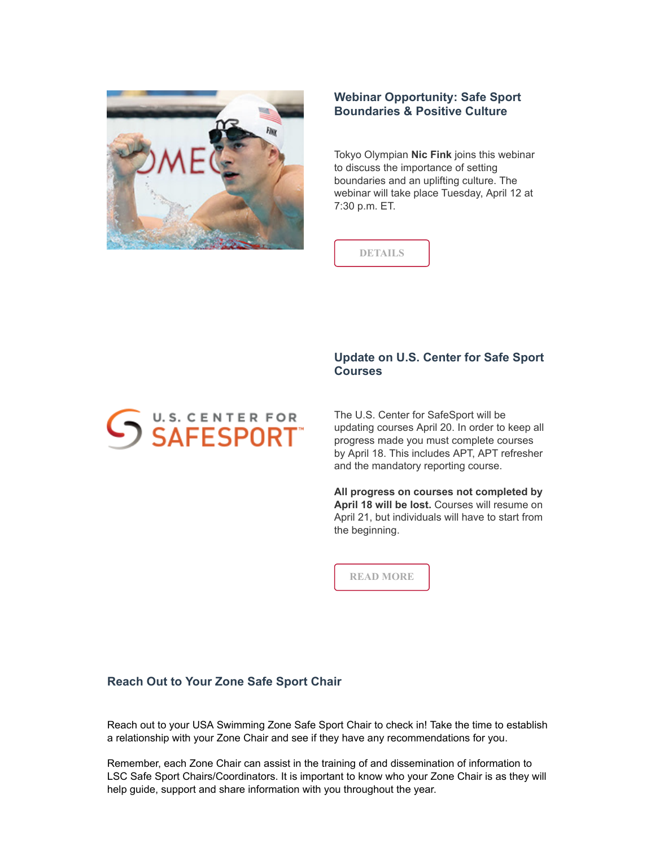

# **Webinar Opportunity: Safe Sport Boundaries & Positive Culture**

Tokyo Olympian **Nic Fink** joins this webinar to discuss the importance of setting boundaries and an uplifting culture. The webinar will take place Tuesday, April 12 at 7:30 p.m. ET.



# **Update on U.S. Center for Safe Sport Courses**

The U.S. Center for SafeSport will be updating courses April 20. In order to keep all progress made you must complete courses by April 18. This includes APT, APT refresher and the mandatory reporting course.

**All progress on courses not completed by April 18 will be lost.** Courses will resume on April 21, but individuals will have to start from the beginning.

**[READ MORE](http://pages.usaswimming.org/MjM2LUtDWi00OTUAAAGDqU5xEQ_T5nSy0P4csgz-sYz8TQRxN-nFUsTwi9mV8xavFre346fM5XJpBjFBduENpWBcAl0=)**

## **Reach Out to Your Zone Safe Sport Chair**

U.S. CENTER FOR SAFESPORT

Reach out to your USA Swimming Zone Safe Sport Chair to check in! Take the time to establish a relationship with your Zone Chair and see if they have any recommendations for you.

Remember, each Zone Chair can assist in the training of and dissemination of information to LSC Safe Sport Chairs/Coordinators. It is important to know who your Zone Chair is as they will help guide, support and share information with you throughout the year.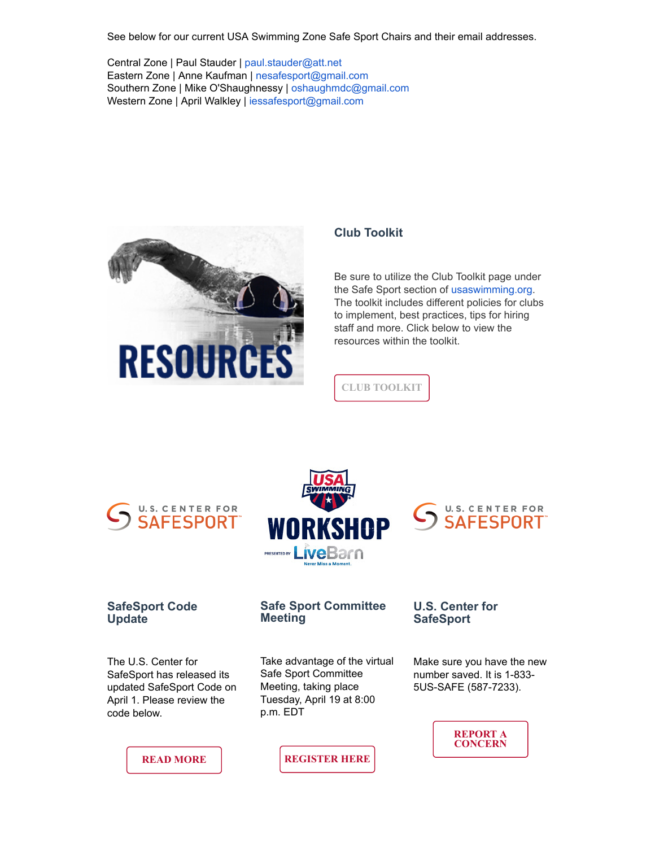See below for our current USA Swimming Zone Safe Sport Chairs and their email addresses.

Central Zone | Paul Stauder | [paul.stauder@att.net](http://pages.usaswimming.org/MjM2LUtDWi00OTUAAAGDqU5xEc2mUCet49OFXvYQOgfL-t6CUh73906AzAxnqZdqXdZEwUg0Y2izUWHt12GqJ1Mu5LM=) Eastern Zone | Anne Kaufman | [nesafesport@gmail.com](http://pages.usaswimming.org/MjM2LUtDWi00OTUAAAGDqU5xEowYBhZS-NUIDncA0dJ-hP_V2m0bY9UdIdMjf6LHQo3XzoaqVopXcZZTBZ0xOusnFcQ=) Southern Zone | Mike O'Shaughnessy | [oshaughmdc@gmail.com](http://pages.usaswimming.org/MjM2LUtDWi00OTUAAAGDqU5xESTIuJyvzL7nuNxU5vdMrEzACHHt-s5_l7utYLxXsezYueY628svHR33M4AgJXkcpKE=) Western Zone | April Walkley | [iessafesport@gmail.com](http://pages.usaswimming.org/MjM2LUtDWi00OTUAAAGDqU5xEfB2sY7OhKT61bUKCMzKEZAa7oML7hTro9k454rH44SlSNiw0MAv7QhoRYNrKaoo96A=)



# **Club Toolkit**

Be sure to utilize the Club Toolkit page under the Safe Sport section of [usaswimming.org.](http://pages.usaswimming.org/MjM2LUtDWi00OTUAAAGDqU5xEY7jnzK42DCoOOnKR0mWxged4_FjfLE9JsjqT-zAjEtNdUc6mP5u1vLfotFZIoNDlE8=) The toolkit includes different policies for clubs to implement, best practices, tips for hiring staff and more. Click below to view the resources within the toolkit.



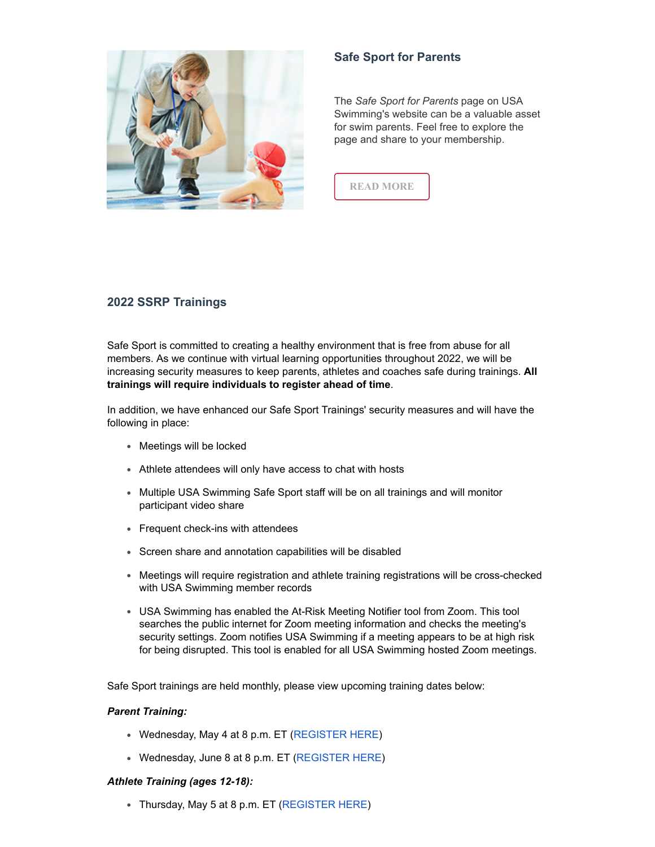

# **Safe Sport for Parents**

The *Safe Sport for Parents* page on USA Swimming's website can be a valuable asset for swim parents. Feel free to explore the page and share to your membership.



# **2022 SSRP Trainings**

Safe Sport is committed to creating a healthy environment that is free from abuse for all members. As we continue with virtual learning opportunities throughout 2022, we will be increasing security measures to keep parents, athletes and coaches safe during trainings. **All trainings will require individuals to register ahead of time**.

In addition, we have enhanced our Safe Sport Trainings' security measures and will have the following in place:

- Meetings will be locked
- Athlete attendees will only have access to chat with hosts
- Multiple USA Swimming Safe Sport staff will be on all trainings and will monitor participant video share
- Frequent check-ins with attendees
- Screen share and annotation capabilities will be disabled
- Meetings will require registration and athlete training registrations will be cross-checked with USA Swimming member records
- USA Swimming has enabled the At-Risk Meeting Notifier tool from Zoom. This tool searches the public internet for Zoom meeting information and checks the meeting's security settings. Zoom notifies USA Swimming if a meeting appears to be at high risk for being disrupted. This tool is enabled for all USA Swimming hosted Zoom meetings.

Safe Sport trainings are held monthly, please view upcoming training dates below:

## *Parent Training:*

- Wednesday, May 4 at 8 p.m. ET [\(REGISTER HERE\)](http://pages.usaswimming.org/MjM2LUtDWi00OTUAAAGDqU5xEbwQcu97rO_enlAuOC3IKsXrsS7m4Ljb0SZekVIj0ChmzJBANe5BWM8LIcKui9w0XnE=)
- Wednesday, June 8 at 8 p.m. ET [\(REGISTER HERE\)](http://pages.usaswimming.org/MjM2LUtDWi00OTUAAAGDqU5xEZ80DDQOHpvton07Y8gI69SZRBMiR9pjSvc3qai5b-umFiFiLA535iRuoZLhi5ZUnug=)

#### *Athlete Training (ages 12-18):*

• Thursday, May 5 at 8 p.m. ET ([REGISTER HERE](http://pages.usaswimming.org/MjM2LUtDWi00OTUAAAGDqU5xEXAHS6dLklRo6wVlDmaiaRRL2AG3VdKAXtKF-fQb9TNUZUXdFoMXjlvwxnOU6mOTEYw=))